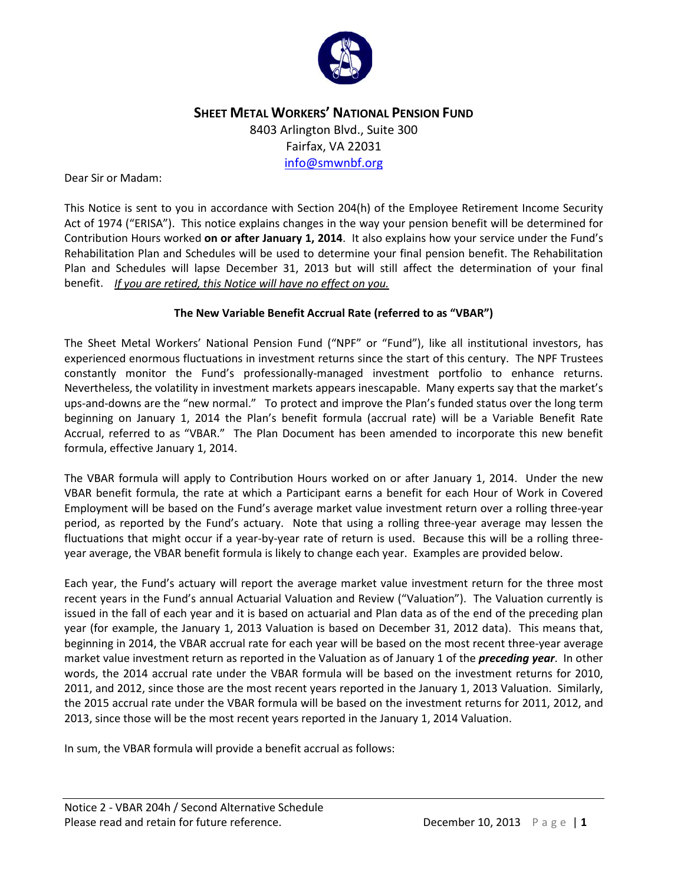

# **SHEET METAL WORKERS' NATIONAL PENSION FUND** 8403 Arlington Blvd., Suite 300 Fairfax, VA 22031 [info@smwnbf.org](mailto:info@smwnbf.org)

#### Dear Sir or Madam:

This Notice is sent to you in accordance with Section 204(h) of the Employee Retirement Income Security Act of 1974 ("ERISA"). This notice explains changes in the way your pension benefit will be determined for Contribution Hours worked **on or after January 1, 2014**. It also explains how your service under the Fund's Rehabilitation Plan and Schedules will be used to determine your final pension benefit. The Rehabilitation Plan and Schedules will lapse December 31, 2013 but will still affect the determination of your final benefit. *If you are retired, this Notice will have no effect on you.* 

#### **The New Variable Benefit Accrual Rate (referred to as "VBAR")**

The Sheet Metal Workers' National Pension Fund ("NPF" or "Fund"), like all institutional investors, has experienced enormous fluctuations in investment returns since the start of this century. The NPF Trustees constantly monitor the Fund's professionally-managed investment portfolio to enhance returns. Nevertheless, the volatility in investment markets appears inescapable. Many experts say that the market's ups-and-downs are the "new normal." To protect and improve the Plan's funded status over the long term beginning on January 1, 2014 the Plan's benefit formula (accrual rate) will be a Variable Benefit Rate Accrual, referred to as "VBAR." The Plan Document has been amended to incorporate this new benefit formula, effective January 1, 2014.

The VBAR formula will apply to Contribution Hours worked on or after January 1, 2014. Under the new VBAR benefit formula, the rate at which a Participant earns a benefit for each Hour of Work in Covered Employment will be based on the Fund's average market value investment return over a rolling three-year period, as reported by the Fund's actuary. Note that using a rolling three-year average may lessen the fluctuations that might occur if a year-by-year rate of return is used. Because this will be a rolling threeyear average, the VBAR benefit formula is likely to change each year. Examples are provided below.

Each year, the Fund's actuary will report the average market value investment return for the three most recent years in the Fund's annual Actuarial Valuation and Review ("Valuation"). The Valuation currently is issued in the fall of each year and it is based on actuarial and Plan data as of the end of the preceding plan year (for example, the January 1, 2013 Valuation is based on December 31, 2012 data). This means that, beginning in 2014, the VBAR accrual rate for each year will be based on the most recent three-year average market value investment return as reported in the Valuation as of January 1 of the *preceding year*. In other words, the 2014 accrual rate under the VBAR formula will be based on the investment returns for 2010, 2011, and 2012, since those are the most recent years reported in the January 1, 2013 Valuation. Similarly, the 2015 accrual rate under the VBAR formula will be based on the investment returns for 2011, 2012, and 2013, since those will be the most recent years reported in the January 1, 2014 Valuation.

In sum, the VBAR formula will provide a benefit accrual as follows: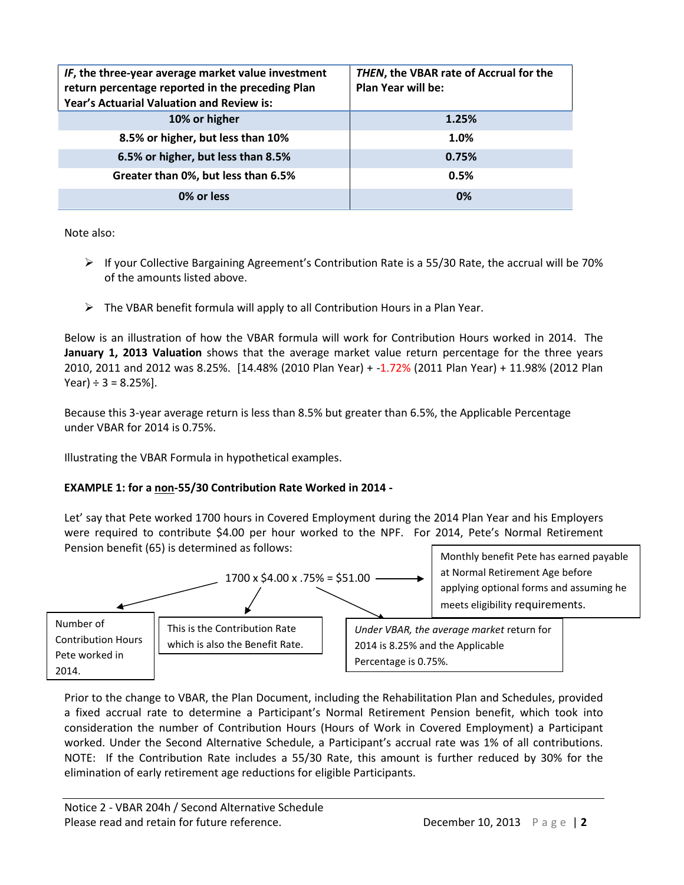| IF, the three-year average market value investment<br>return percentage reported in the preceding Plan<br>Year's Actuarial Valuation and Review is: | THEN, the VBAR rate of Accrual for the<br><b>Plan Year will be:</b> |
|-----------------------------------------------------------------------------------------------------------------------------------------------------|---------------------------------------------------------------------|
| 10% or higher                                                                                                                                       | 1.25%                                                               |
| 8.5% or higher, but less than 10%                                                                                                                   | 1.0%                                                                |
| 6.5% or higher, but less than 8.5%                                                                                                                  | 0.75%                                                               |
| Greater than 0%, but less than 6.5%                                                                                                                 | 0.5%                                                                |
| 0% or less                                                                                                                                          | 0%                                                                  |

Note also:

- $\triangleright$  If your Collective Bargaining Agreement's Contribution Rate is a 55/30 Rate, the accrual will be 70% of the amounts listed above.
- $\triangleright$  The VBAR benefit formula will apply to all Contribution Hours in a Plan Year.

Below is an illustration of how the VBAR formula will work for Contribution Hours worked in 2014. The **January 1, 2013 Valuation** shows that the average market value return percentage for the three years 2010, 2011 and 2012 was 8.25%. [14.48% (2010 Plan Year) + -1.72% (2011 Plan Year) + 11.98% (2012 Plan Year)  $\div$  3 = 8.25%].

Because this 3-year average return is less than 8.5% but greater than 6.5%, the Applicable Percentage under VBAR for 2014 is 0.75%.

Illustrating the VBAR Formula in hypothetical examples.

#### **EXAMPLE 1: for a non-55/30 Contribution Rate Worked in 2014 -**

Let' say that Pete worked 1700 hours in Covered Employment during the 2014 Plan Year and his Employers were required to contribute \$4.00 per hour worked to the NPF. For 2014, Pete's Normal Retirement Pension benefit (65) is determined as follows:



Prior to the change to VBAR, the Plan Document, including the Rehabilitation Plan and Schedules, provided a fixed accrual rate to determine a Participant's Normal Retirement Pension benefit, which took into consideration the number of Contribution Hours (Hours of Work in Covered Employment) a Participant worked. Under the Second Alternative Schedule, a Participant's accrual rate was 1% of all contributions. NOTE: If the Contribution Rate includes a 55/30 Rate, this amount is further reduced by 30% for the elimination of early retirement age reductions for eligible Participants.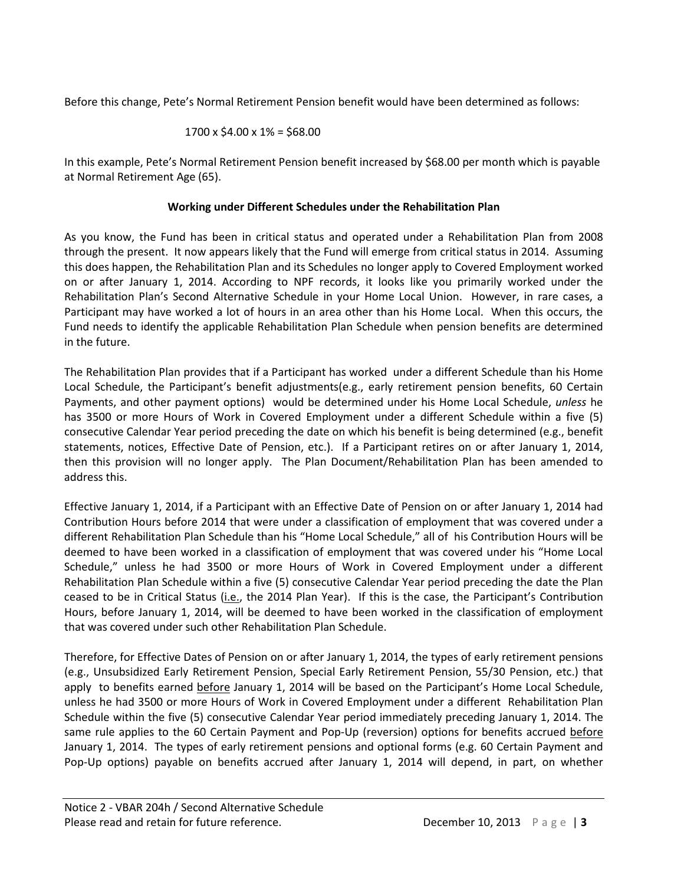Before this change, Pete's Normal Retirement Pension benefit would have been determined as follows:

$$
1700 \times \$4.00 \times 1\% = \$68.00
$$

In this example, Pete's Normal Retirement Pension benefit increased by \$68.00 per month which is payable at Normal Retirement Age (65).

## **Working under Different Schedules under the Rehabilitation Plan**

As you know, the Fund has been in critical status and operated under a Rehabilitation Plan from 2008 through the present. It now appears likely that the Fund will emerge from critical status in 2014. Assuming this does happen, the Rehabilitation Plan and its Schedules no longer apply to Covered Employment worked on or after January 1, 2014. According to NPF records, it looks like you primarily worked under the Rehabilitation Plan's Second Alternative Schedule in your Home Local Union. However, in rare cases, a Participant may have worked a lot of hours in an area other than his Home Local. When this occurs, the Fund needs to identify the applicable Rehabilitation Plan Schedule when pension benefits are determined in the future.

The Rehabilitation Plan provides that if a Participant has worked under a different Schedule than his Home Local Schedule, the Participant's benefit adjustments(e.g., early retirement pension benefits, 60 Certain Payments, and other payment options) would be determined under his Home Local Schedule, *unless* he has 3500 or more Hours of Work in Covered Employment under a different Schedule within a five (5) consecutive Calendar Year period preceding the date on which his benefit is being determined (e.g., benefit statements, notices, Effective Date of Pension, etc.). If a Participant retires on or after January 1, 2014, then this provision will no longer apply. The Plan Document/Rehabilitation Plan has been amended to address this.

Effective January 1, 2014, if a Participant with an Effective Date of Pension on or after January 1, 2014 had Contribution Hours before 2014 that were under a classification of employment that was covered under a different Rehabilitation Plan Schedule than his "Home Local Schedule," all of his Contribution Hours will be deemed to have been worked in a classification of employment that was covered under his "Home Local Schedule," unless he had 3500 or more Hours of Work in Covered Employment under a different Rehabilitation Plan Schedule within a five (5) consecutive Calendar Year period preceding the date the Plan ceased to be in Critical Status (i.e., the 2014 Plan Year). If this is the case, the Participant's Contribution Hours, before January 1, 2014, will be deemed to have been worked in the classification of employment that was covered under such other Rehabilitation Plan Schedule.

Therefore, for Effective Dates of Pension on or after January 1, 2014, the types of early retirement pensions (e.g., Unsubsidized Early Retirement Pension, Special Early Retirement Pension, 55/30 Pension, etc.) that apply to benefits earned before January 1, 2014 will be based on the Participant's Home Local Schedule, unless he had 3500 or more Hours of Work in Covered Employment under a different Rehabilitation Plan Schedule within the five (5) consecutive Calendar Year period immediately preceding January 1, 2014. The same rule applies to the 60 Certain Payment and Pop-Up (reversion) options for benefits accrued before January 1, 2014. The types of early retirement pensions and optional forms (e.g. 60 Certain Payment and Pop-Up options) payable on benefits accrued after January 1, 2014 will depend, in part, on whether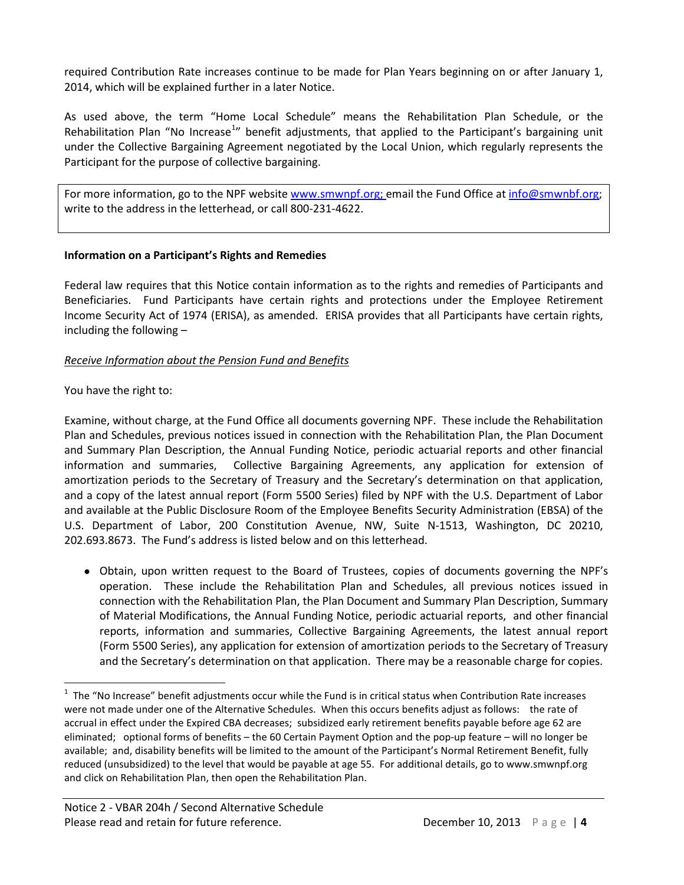required Contribution Rate increases continue to be made for Plan Years beginning on or after January 1, 2014, which will be explained further in a later Notice.

As used above, the term "Home Local Schedule" means the Rehabilitation Plan Schedule, or the Rehabilitation Plan "No Increase<sup>[1](#page-3-0)</sup>" benefit adjustments, that applied to the Participant's bargaining unit under the Collective Bargaining Agreement negotiated by the Local Union, which regularly represents the Participant for the purpose of collective bargaining.

For more information, go to the NPF website [www.smwnpf.org;](http://www.smwnpf.org/) email the Fund Office a[t info@smwnbf.org;](mailto:info@smwnbf.org) write to the address in the letterhead, or call 800-231-4622.

#### **Information on a Participant's Rights and Remedies**

Federal law requires that this Notice contain information as to the rights and remedies of Participants and Beneficiaries. Fund Participants have certain rights and protections under the Employee Retirement Income Security Act of 1974 (ERISA), as amended. ERISA provides that all Participants have certain rights, including the following –

#### *Receive Information about the Pension Fund and Benefits*

#### You have the right to:

Examine, without charge, at the Fund Office all documents governing NPF. These include the Rehabilitation Plan and Schedules, previous notices issued in connection with the Rehabilitation Plan, the Plan Document and Summary Plan Description, the Annual Funding Notice, periodic actuarial reports and other financial information and summaries, Collective Bargaining Agreements, any application for extension of amortization periods to the Secretary of Treasury and the Secretary's determination on that application, and a copy of the latest annual report (Form 5500 Series) filed by NPF with the U.S. Department of Labor and available at the Public Disclosure Room of the Employee Benefits Security Administration (EBSA) of the U.S. Department of Labor, 200 Constitution Avenue, NW, Suite N-1513, Washington, DC 20210, 202.693.8673.The Fund's address is listed below and on this letterhead.

• Obtain, upon written request to the Board of Trustees, copies of documents governing the NPF's operation. These include the Rehabilitation Plan and Schedules, all previous notices issued in connection with the Rehabilitation Plan, the Plan Document and Summary Plan Description, Summary of Material Modifications, the Annual Funding Notice, periodic actuarial reports, and other financial reports, information and summaries, Collective Bargaining Agreements, the latest annual report (Form 5500 Series), any application for extension of amortization periods to the Secretary of Treasury and the Secretary's determination on that application. There may be a reasonable charge for copies.

<span id="page-3-0"></span> $\overline{1}$  $1$  The "No Increase" benefit adjustments occur while the Fund is in critical status when Contribution Rate increases were not made under one of the Alternative Schedules. When this occurs benefits adjust as follows: the rate of accrual in effect under the Expired CBA decreases; subsidized early retirement benefits payable before age 62 are eliminated; optional forms of benefits – the 60 Certain Payment Option and the pop-up feature – will no longer be available; and, disability benefits will be limited to the amount of the Participant's Normal Retirement Benefit, fully reduced (unsubsidized) to the level that would be payable at age 55. For additional details, go t[o www.smwnpf.org](http://www.smwnpf.org/) and click on Rehabilitation Plan, then open the Rehabilitation Plan.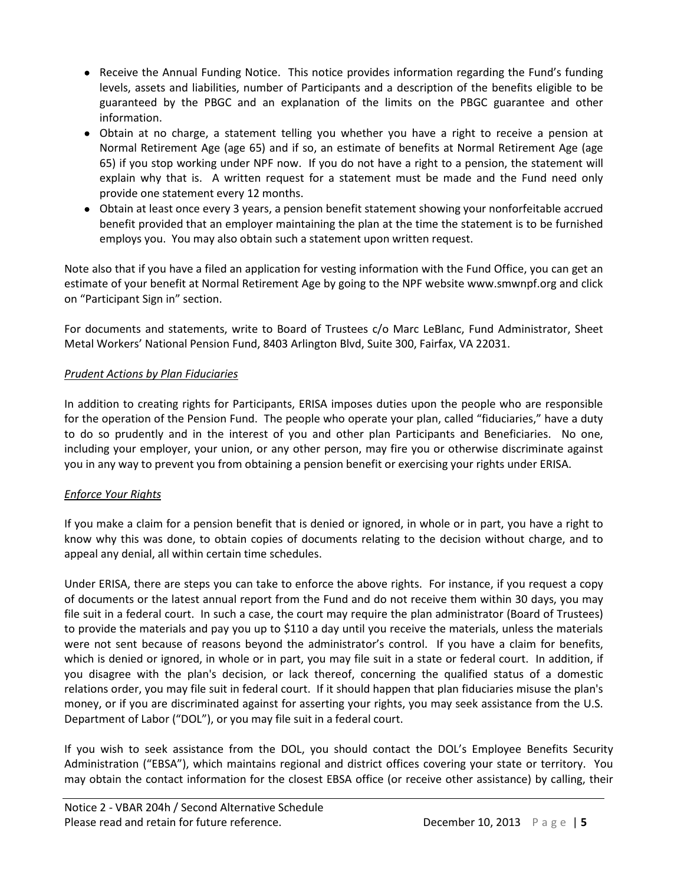- Receive the Annual Funding Notice. This notice provides information regarding the Fund's funding levels, assets and liabilities, number of Participants and a description of the benefits eligible to be guaranteed by the PBGC and an explanation of the limits on the PBGC guarantee and other information.
- Obtain at no charge, a statement telling you whether you have a right to receive a pension at Normal Retirement Age (age 65) and if so, an estimate of benefits at Normal Retirement Age (age 65) if you stop working under NPF now. If you do not have a right to a pension, the statement will explain why that is. A written request for a statement must be made and the Fund need only provide one statement every 12 months.
- Obtain at least once every 3 years, a pension benefit statement showing your nonforfeitable accrued benefit provided that an employer maintaining the plan at the time the statement is to be furnished employs you. You may also obtain such a statement upon written request.

Note also that if you have a filed an application for vesting information with the Fund Office, you can get an estimate of your benefit at Normal Retirement Age by going to the NPF website www.smwnpf.org and click on "Participant Sign in" section.

For documents and statements, write to Board of Trustees c/o Marc LeBlanc, Fund Administrator, Sheet Metal Workers' National Pension Fund, 8403 Arlington Blvd, Suite 300, Fairfax, VA 22031.

### *Prudent Actions by Plan Fiduciaries*

In addition to creating rights for Participants, ERISA imposes duties upon the people who are responsible for the operation of the Pension Fund. The people who operate your plan, called "fiduciaries," have a duty to do so prudently and in the interest of you and other plan Participants and Beneficiaries. No one, including your employer, your union, or any other person, may fire you or otherwise discriminate against you in any way to prevent you from obtaining a pension benefit or exercising your rights under ERISA.

## *Enforce Your Rights*

If you make a claim for a pension benefit that is denied or ignored, in whole or in part, you have a right to know why this was done, to obtain copies of documents relating to the decision without charge, and to appeal any denial, all within certain time schedules.

Under ERISA, there are steps you can take to enforce the above rights. For instance, if you request a copy of documents or the latest annual report from the Fund and do not receive them within 30 days, you may file suit in a federal court. In such a case, the court may require the plan administrator (Board of Trustees) to provide the materials and pay you up to \$110 a day until you receive the materials, unless the materials were not sent because of reasons beyond the administrator's control. If you have a claim for benefits, which is denied or ignored, in whole or in part, you may file suit in a state or federal court. In addition, if you disagree with the plan's decision, or lack thereof, concerning the qualified status of a domestic relations order, you may file suit in federal court. If it should happen that plan fiduciaries misuse the plan's money, or if you are discriminated against for asserting your rights, you may seek assistance from the U.S. Department of Labor ("DOL"), or you may file suit in a federal court.

If you wish to seek assistance from the DOL, you should contact the DOL's Employee Benefits Security Administration ("EBSA"), which maintains regional and district offices covering your state or territory. You may obtain the contact information for the closest EBSA office (or receive other assistance) by calling, their